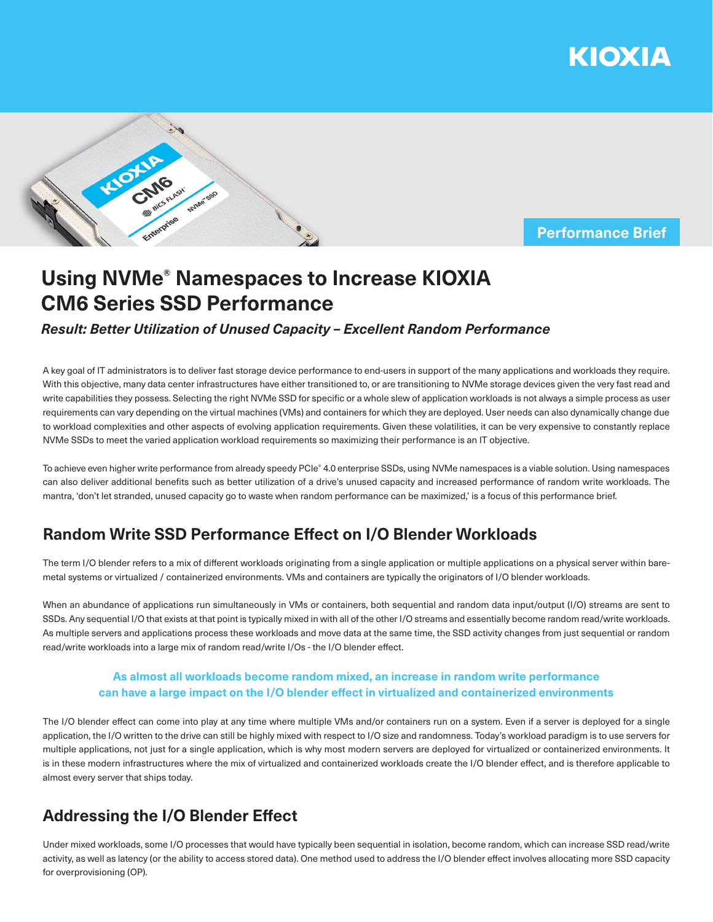



### **Performance Brief**

# **Using NVMe® Namespaces to Increase KIOXIA CM6 Series SSD Performance**

### *Result: Better Utilization of Unused Capacity – Excellent Random Performance*

A key goal of IT administrators is to deliver fast storage device performance to end-users in support of the many applications and workloads they require. With this objective, many data center infrastructures have either transitioned to, or are transitioning to NVMe storage devices given the very fast read and write capabilities they possess. Selecting the right NVMe SSD for specific or a whole slew of application workloads is not always a simple process as user requirements can vary depending on the virtual machines (VMs) and containers for which they are deployed. User needs can also dynamically change due to workload complexities and other aspects of evolving application requirements. Given these volatilities, it can be very expensive to constantly replace NVMe SSDs to meet the varied application workload requirements so maximizing their performance is an IT objective.

To achieve even higher write performance from already speedy PCIe® 4.0 enterprise SSDs, using NVMe namespaces is a viable solution. Using namespaces can also deliver additional benefits such as better utilization of a drive's unused capacity and increased performance of random write workloads. The mantra, 'don't let stranded, unused capacity go to waste when random performance can be maximized,' is a focus of this performance brief.

### **Random Write SSD Performance Effect on I/O Blender Workloads**

The term I/O blender refers to a mix of different workloads originating from a single application or multiple applications on a physical server within baremetal systems or virtualized / containerized environments. VMs and containers are typically the originators of I/O blender workloads.

When an abundance of applications run simultaneously in VMs or containers, both sequential and random data input/output (I/O) streams are sent to SSDs. Any sequential I/O that exists at that point is typically mixed in with all of the other I/O streams and essentially become random read/write workloads. As multiple servers and applications process these workloads and move data at the same time, the SSD activity changes from just sequential or random read/write workloads into a large mix of random read/write I/Os - the I/O blender effect.

### **As almost all workloads become random mixed, an increase in random write performance can have a large impact on the I/O blender effect in virtualized and containerized environments**

The I/O blender effect can come into play at any time where multiple VMs and/or containers run on a system. Even if a server is deployed for a single application, the I/O written to the drive can still be highly mixed with respect to I/O size and randomness. Today's workload paradigm is to use servers for multiple applications, not just for a single application, which is why most modern servers are deployed for virtualized or containerized environments. It is in these modern infrastructures where the mix of virtualized and containerized workloads create the I/O blender effect, and is therefore applicable to almost every server that ships today.

## **Addressing the I/O Blender Effect**

Under mixed workloads, some I/O processes that would have typically been sequential in isolation, become random, which can increase SSD read/write activity, as well as latency (or the ability to access stored data). One method used to address the I/O blender effect involves allocating more SSD capacity for overprovisioning (OP).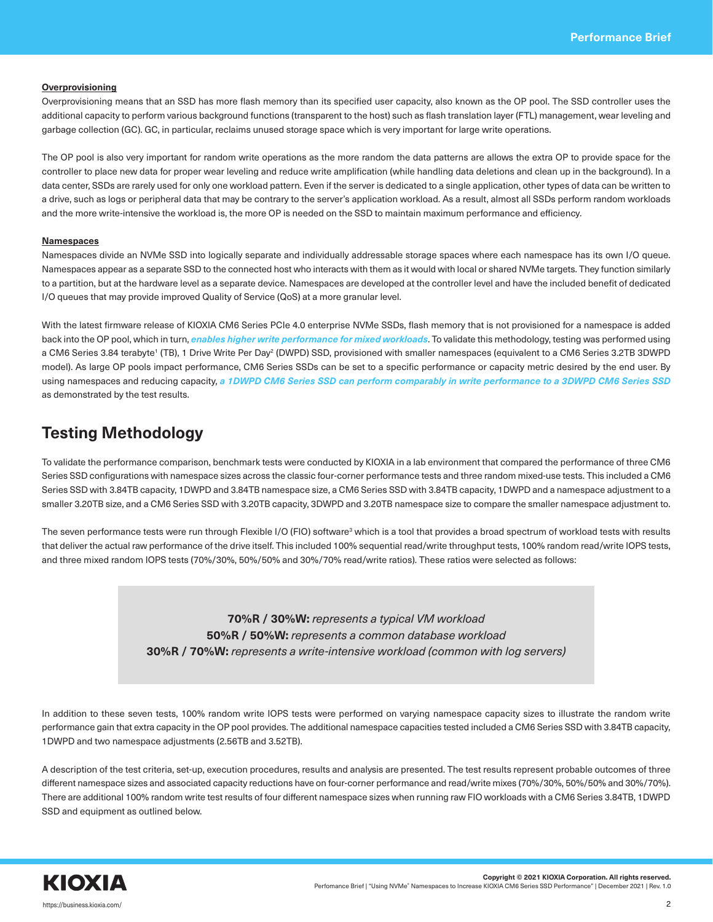### **Overprovisioning**

Overprovisioning means that an SSD has more flash memory than its specified user capacity, also known as the OP pool. The SSD controller uses the additional capacity to perform various background functions (transparent to the host) such as flash translation layer (FTL) management, wear leveling and garbage collection (GC). GC, in particular, reclaims unused storage space which is very important for large write operations.

The OP pool is also very important for random write operations as the more random the data patterns are allows the extra OP to provide space for the controller to place new data for proper wear leveling and reduce write amplification (while handling data deletions and clean up in the background). In a data center, SSDs are rarely used for only one workload pattern. Even if the server is dedicated to a single application, other types of data can be written to a drive, such as logs or peripheral data that may be contrary to the server's application workload. As a result, almost all SSDs perform random workloads and the more write-intensive the workload is, the more OP is needed on the SSD to maintain maximum performance and efficiency.

#### **Namespaces**

Namespaces divide an NVMe SSD into logically separate and individually addressable storage spaces where each namespace has its own I/O queue. Namespaces appear as a separate SSD to the connected host who interacts with them as it would with local or shared NVMe targets. They function similarly to a partition, but at the hardware level as a separate device. Namespaces are developed at the controller level and have the included benefit of dedicated I/O queues that may provide improved Quality of Service (QoS) at a more granular level.

With the latest firmware release of KIOXIA CM6 Series PCIe 4.0 enterprise NVMe SSDs, flash memory that is not provisioned for a namespace is added back into the OP pool, which in turn, *enables higher write performance for mixed workloads*. To validate this methodology, testing was performed using a CM6 Series 3.84 terabyte' (TB), 1 Drive Write Per Day<sup>2</sup> (DWPD) SSD, provisioned with smaller namespaces (equivalent to a CM6 Series 3.2TB 3DWPD model). As large OP pools impact performance, CM6 Series SSDs can be set to a specific performance or capacity metric desired by the end user. By using namespaces and reducing capacity, *a 1DWPD CM6 Series SSD can perform comparably in write performance to a 3DWPD CM6 Series SSD* as demonstrated by the test results.

### **Testing Methodology**

To validate the performance comparison, benchmark tests were conducted by KIOXIA in a lab environment that compared the performance of three CM6 Series SSD configurations with namespace sizes across the classic four-corner performance tests and three random mixed-use tests. This included a CM6 Series SSD with 3.84TB capacity, 1DWPD and 3.84TB namespace size, a CM6 Series SSD with 3.84TB capacity, 1DWPD and a namespace adjustment to a smaller 3.20TB size, and a CM6 Series SSD with 3.20TB capacity, 3DWPD and 3.20TB namespace size to compare the smaller namespace adjustment to.

The seven performance tests were run through Flexible I/O (FIO) software<sup>3</sup> which is a tool that provides a broad spectrum of workload tests with results that deliver the actual raw performance of the drive itself. This included 100% sequential read/write throughput tests, 100% random read/write IOPS tests, and three mixed random IOPS tests (70%/30%, 50%/50% and 30%/70% read/write ratios). These ratios were selected as follows:

> **70%R / 30%W:** *represents a typical VM workload* **50%R / 50%W:** *represents a common database workload* **30%R / 70%W:** *represents a write-intensive workload (common with log servers)*

In addition to these seven tests, 100% random write IOPS tests were performed on varying namespace capacity sizes to illustrate the random write performance gain that extra capacity in the OP pool provides. The additional namespace capacities tested included a CM6 Series SSD with 3.84TB capacity, 1DWPD and two namespace adjustments (2.56TB and 3.52TB).

A description of the test criteria, set-up, execution procedures, results and analysis are presented. The test results represent probable outcomes of three different namespace sizes and associated capacity reductions have on four-corner performance and read/write mixes (70%/30%, 50%/50% and 30%/70%). There are additional 100% random write test results of four different namespace sizes when running raw FIO workloads with a CM6 Series 3.84TB, 1DWPD SSD and equipment as outlined below.

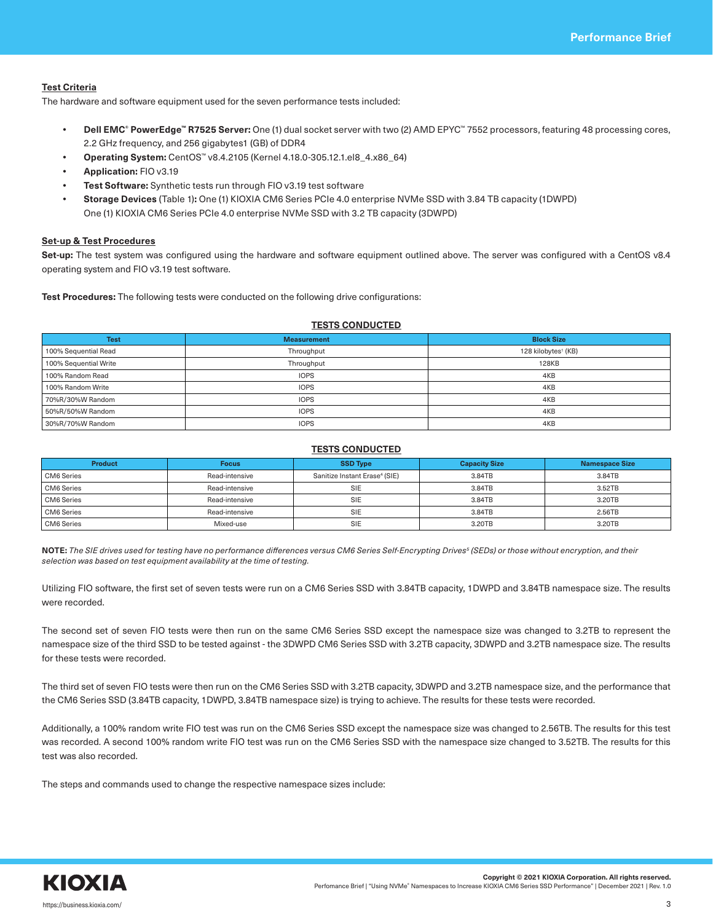### **Test Criteria**

The hardware and software equipment used for the seven performance tests included:

- **• Dell EMC® PowerEdge™ R7525 Server:** One (1) dual socket server with two (2) AMD EPYC™ 7552 processors, featuring 48 processing cores, 2.2 GHz frequency, and 256 gigabytes1 (GB) of DDR4
- **• Operating System:** CentOS™ v8.4.2105 (Kernel 4.18.0-305.12.1.el8\_4.x86\_64)
- **• Application:** FIO v3.19
- **• Test Software:** Synthetic tests run through FIO v3.19 test software
- **• Storage Devices** (Table 1)**:** One (1) KIOXIA CM6 Series PCIe 4.0 enterprise NVMe SSD with 3.84 TB capacity (1DWPD) One (1) KIOXIA CM6 Series PCIe 4.0 enterprise NVMe SSD with 3.2 TB capacity (3DWPD)

#### **Set-up & Test Procedures**

**Set-up:** The test system was configured using the hardware and software equipment outlined above. The server was configured with a CentOS v8.4 operating system and FIO v3.19 test software.

**Test Procedures:** The following tests were conducted on the following drive configurations:

### **TESTS CONDUCTED**

| <b>Test</b>           | <b>Measurement</b> | <b>Block Size</b>               |
|-----------------------|--------------------|---------------------------------|
| 100% Sequential Read  | Throughput         | 128 kilobytes <sup>1</sup> (KB) |
| 100% Sequential Write | Throughput         | <b>128KB</b>                    |
| 100% Random Read      | <b>IOPS</b>        | 4KB                             |
| 100% Random Write     | <b>IOPS</b>        | 4KB                             |
| 70%R/30%W Random      | <b>IOPS</b>        | 4KB                             |
| 50%R/50%W Random      | <b>IOPS</b>        | 4KB                             |
| 30%R/70%W Random      | <b>IOPS</b>        | 4KB                             |

#### **TESTS CONDUCTED**

| <b>Product</b>    | <b>Focus</b>   | <b>SSD Type</b>                           | <b>Capacity Size</b> | <b>Namespace Size</b> |
|-------------------|----------------|-------------------------------------------|----------------------|-----------------------|
| <b>CM6</b> Series | Read-intensive | Sanitize Instant Erase <sup>4</sup> (SIE) | 3.84TB               | 3.84TB                |
| CM6 Series        | Read-intensive | <b>SIE</b>                                | 3.84TB               | 3.52TB                |
| <b>CM6</b> Series | Read-intensive | <b>SIE</b>                                | 3.84TB               | 3.20TB                |
| <b>CM6</b> Series | Read-intensive | <b>SIE</b>                                | 3.84TB               | 2.56TB                |
| <b>CM6</b> Series | Mixed-use      | <b>SIE</b>                                | 3.20TB               | 3.20TB                |

**NOTE:** *The SIE drives used for testing have no performance differences versus CM6 Series Self-Encrypting Drives5 (SEDs) or those without encryption, and their selection was based on test equipment availability at the time of testing.*

Utilizing FIO software, the first set of seven tests were run on a CM6 Series SSD with 3.84TB capacity, 1DWPD and 3.84TB namespace size. The results were recorded.

The second set of seven FIO tests were then run on the same CM6 Series SSD except the namespace size was changed to 3.2TB to represent the namespace size of the third SSD to be tested against - the 3DWPD CM6 Series SSD with 3.2TB capacity, 3DWPD and 3.2TB namespace size. The results for these tests were recorded.

The third set of seven FIO tests were then run on the CM6 Series SSD with 3.2TB capacity, 3DWPD and 3.2TB namespace size, and the performance that the CM6 Series SSD (3.84TB capacity, 1DWPD, 3.84TB namespace size) is trying to achieve. The results for these tests were recorded.

Additionally, a 100% random write FIO test was run on the CM6 Series SSD except the namespace size was changed to 2.56TB. The results for this test was recorded. A second 100% random write FIO test was run on the CM6 Series SSD with the namespace size changed to 3.52TB. The results for this test was also recorded.

The steps and commands used to change the respective namespace sizes include:

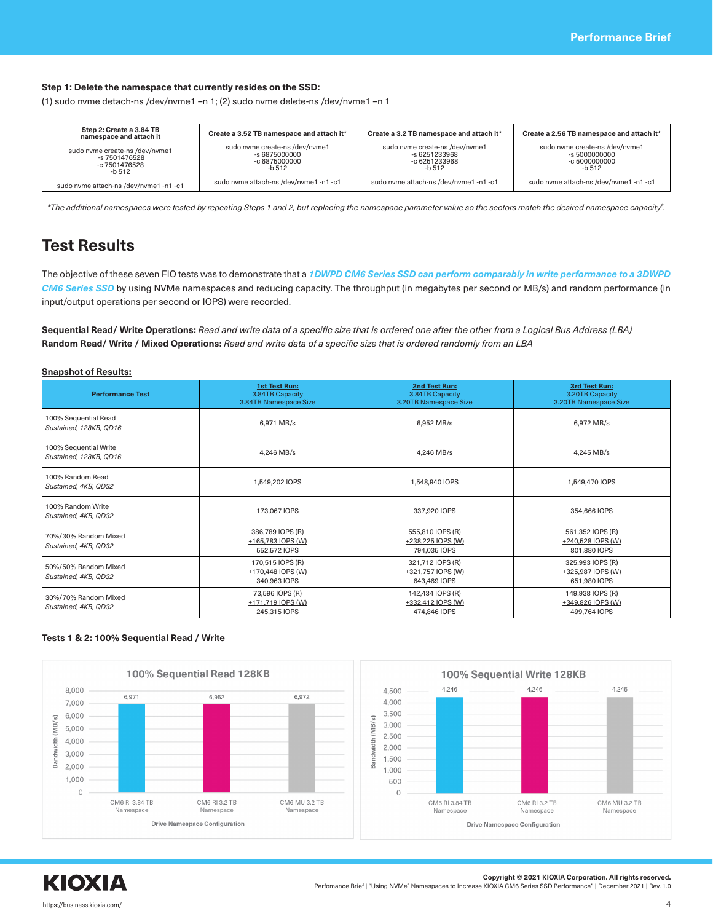### **Step 1: Delete the namespace that currently resides on the SSD:**

(1) sudo nvme detach-ns /dev/nvme1 –n 1; (2) sudo nvme delete-ns /dev/nvme1 –n 1

| Step 2: Create a 3.84 TB<br>namespace and attach it                        | Create a 3.52 TB namespace and attach it*                                  | Create a 3.2 TB namespace and attach it*                                   | Create a 2.56 TB namespace and attach it*                                        |
|----------------------------------------------------------------------------|----------------------------------------------------------------------------|----------------------------------------------------------------------------|----------------------------------------------------------------------------------|
| sudo nyme create-ns /dev/nyme1<br>-s 7501476528<br>-c 7501476528<br>-b 512 | sudo nyme create-ns /dev/nyme1<br>-s 6875000000<br>-c 6875000000<br>-b 512 | sudo nyme create-ns /dev/nyme1<br>-s 6251233968<br>-c 6251233968<br>-b 512 | sudo nyme create-ns /dev/nyme1<br>$-$ s 5000000000<br>$-c 50000000000$<br>-b 512 |
| sudo nyme attach-ns /dev/nyme1 -n1 -c1                                     | sudo nvme attach-ns /dev/nvme1 -n1 -c1                                     | sudo nyme attach-ns /dev/nyme1 -n1 -c1                                     | sudo nyme attach-ns /dev/nyme1 -n1 -c1                                           |

*\*The additional namespaces were tested by repeating Steps 1 and 2, but replacing the namespace parameter value so the sectors match the desired namespace capacity6 .*

### **Test Results**

The objective of these seven FIO tests was to demonstrate that a *1DWPD CM6 Series SSD can perform comparably in write performance to a 3DWPD CM6 Series SSD* by using NVMe namespaces and reducing capacity. The throughput (in megabytes per second or MB/s) and random performance (in input/output operations per second or IOPS) were recorded.

**Sequential Read/ Write Operations:** *Read and write data of a specific size that is ordered one after the other from a Logical Bus Address (LBA)* **Random Read/ Write / Mixed Operations:** *Read and write data of a specific size that is ordered randomly from an LBA*

### **Snapshot of Results:**

| <b>Performance Test</b>                         | <b>1st Test Run:</b><br>3.84TB Capacity<br>3.84TB Namespace Size | 2nd Test Run:<br>3.84TB Capacity<br>3.20TB Namespace Size | 3rd Test Run:<br>3.20TB Capacity<br>3.20TB Namespace Size |
|-------------------------------------------------|------------------------------------------------------------------|-----------------------------------------------------------|-----------------------------------------------------------|
| 100% Sequential Read<br>Sustained, 128KB, QD16  | 6,971 MB/s                                                       | 6.952 MB/s                                                | 6.972 MB/s                                                |
| 100% Sequential Write<br>Sustained, 128KB, QD16 | 4,246 MB/s                                                       | 4,246 MB/s                                                | 4,245 MB/s                                                |
| 100% Random Read<br>Sustained, 4KB, QD32        | 1,549,202 IOPS                                                   | 1,548,940 IOPS                                            | 1,549,470 IOPS                                            |
| 100% Random Write<br>Sustained, 4KB, QD32       | 173,067 IOPS                                                     | 337,920 IOPS                                              | 354,666 IOPS                                              |
| 70%/30% Random Mixed<br>Sustained, 4KB, QD32    | 386,789 IOPS (R)<br>+165,783 IOPS (W)<br>552,572 IOPS            | 555,810 IOPS (R)<br>+238,225 IOPS (W)<br>794.035 IOPS     | 561,352 IOPS (R)<br>+240,528 IOPS (W)<br>801.880 IOPS     |
| 50%/50% Random Mixed<br>Sustained, 4KB, QD32    | 170,515 IOPS (R)<br>+170,448 IOPS (W)<br>340,963 IOPS            | 321,712 IOPS (R)<br>+321.757 IOPS (W)<br>643.469 IOPS     | 325,993 IOPS (R)<br>+325.987 IOPS (W)<br>651,980 IOPS     |
| 30%/70% Random Mixed<br>Sustained, 4KB, QD32    | 73,596 IOPS (R)<br>+171,719 IOPS (W)<br>245.315 IOPS             | 142,434 IOPS (R)<br>+332,412 IOPS (W)<br>474,846 IOPS     | 149,938 IOPS (R)<br>+349,826 IOPS (W)<br>499.764 IOPS     |

### **Tests 1 & 2: 100% Sequential Read / Write**

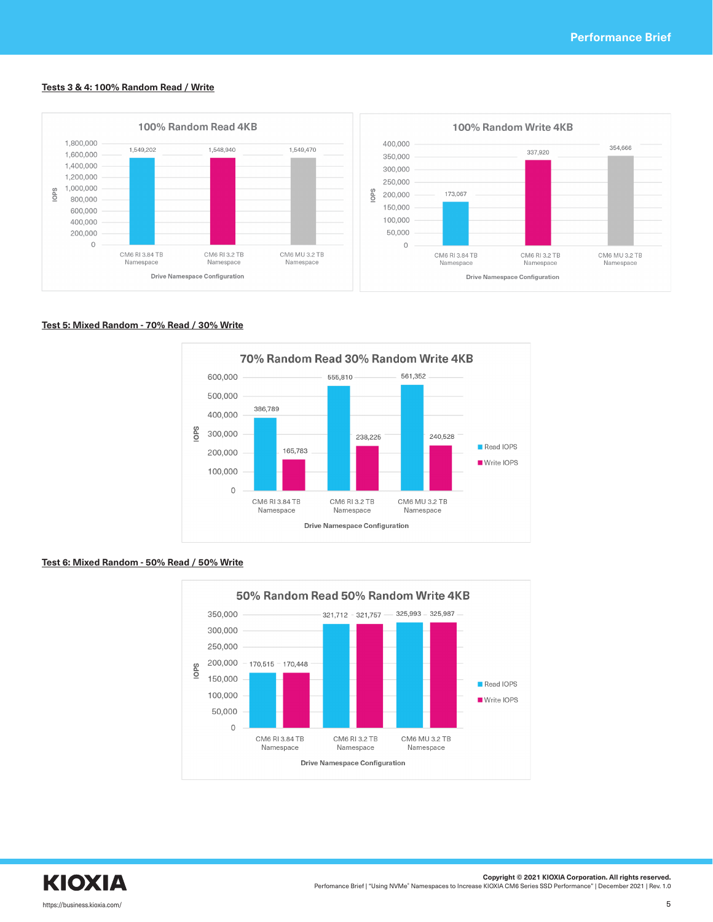#### **Tests 3 & 4: 100% Random Read / Write**



### **Test 5: Mixed Random - 70% Read / 30% Write**



### **Test 6: Mixed Random - 50% Read / 50% Write**



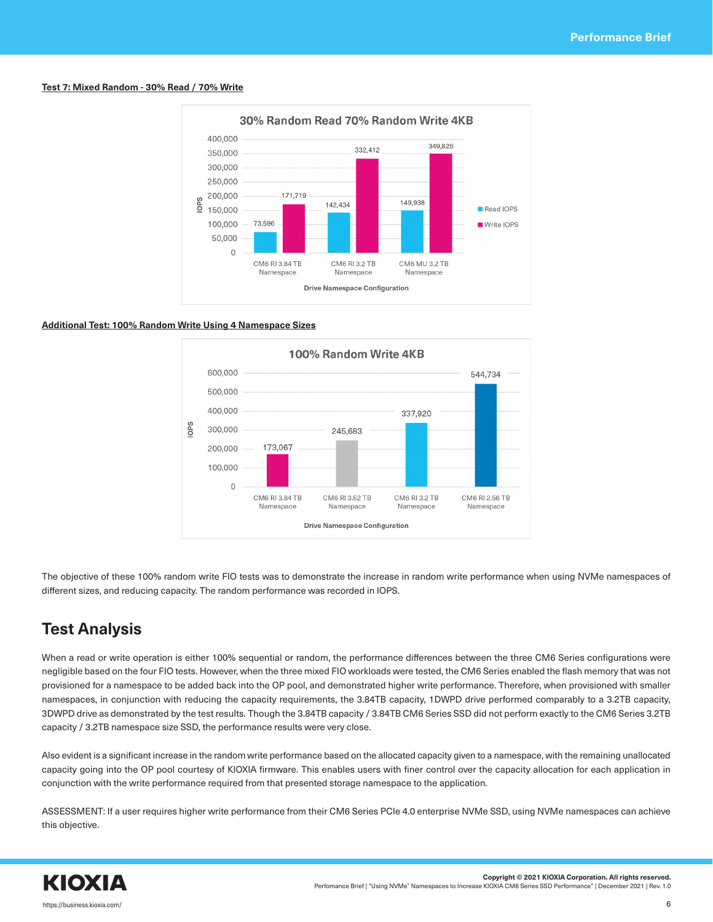### **Test 7: Mixed Random - 30% Read / 70% Write**



### **Additional Test: 100% Random Write Using 4 Namespace Sizes**



The objective of these 100% random write FIO tests was to demonstrate the increase in random write performance when using NVMe namespaces of different sizes, and reducing capacity. The random performance was recorded in IOPS.

## **Test Analysis**

When a read or write operation is either 100% sequential or random, the performance differences between the three CM6 Series configurations were negligible based on the four FIO tests. However, when the three mixed FIO workloads were tested, the CM6 Series enabled the flash memory that was not provisioned for a namespace to be added back into the OP pool, and demonstrated higher write performance. Therefore, when provisioned with smaller namespaces, in conjunction with reducing the capacity requirements, the 3.84TB capacity, 1DWPD drive performed comparably to a 3.2TB capacity, 3DWPD drive as demonstrated by the test results. Though the 3.84TB capacity / 3.84TB CM6 Series SSD did not perform exactly to the CM6 Series 3.2TB capacity / 3.2TB namespace size SSD, the performance results were very close.

Also evident is a significant increase in the random write performance based on the allocated capacity given to a namespace, with the remaining unallocated capacity going into the OP pool courtesy of KIOXIA firmware. This enables users with finer control over the capacity allocation for each application in conjunction with the write performance required from that presented storage namespace to the application.

ASSESSMENT: If a user requires higher write performance from their CM6 Series PCIe 4.0 enterprise NVMe SSD, using NVMe namespaces can achieve this objective.